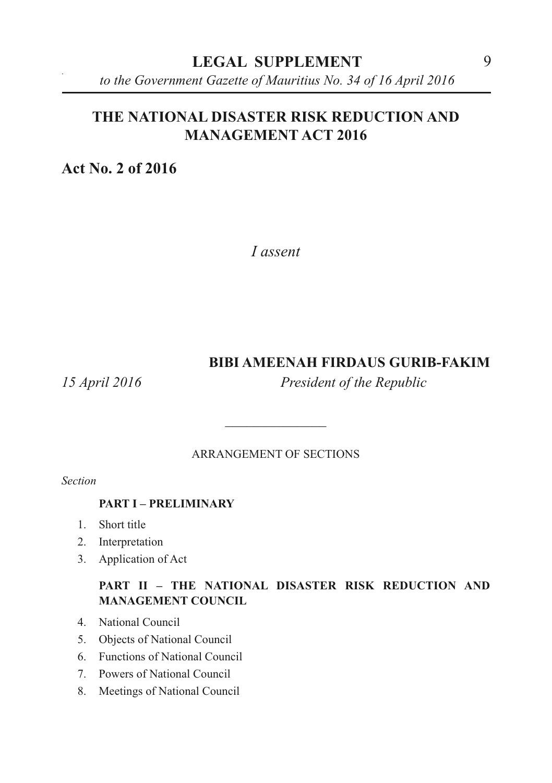*to the Government Gazette of Mauritius No. 34 of 16 April 2016*

# **THE NATIONAL DISASTER RISK REDUCTION AND MANAGEMENT ACT 2016**

**Act No. 2 of 2016**

*I assent*

#### **BIBI AMEENAH FIRDAUS GURIB-FAKIM**

*15 April 2016 President of the Republic*

ARRANGEMENT OF SECTIONS

 $\overline{\phantom{a}}$  , where  $\overline{\phantom{a}}$ 

*Section*

#### **PART I – PRELIMINARY**

- 1. Short title
- 2. Interpretation
- 3. Application of Act

#### **PART II – THE NATIONAL DISASTER RISK REDUCTION AND MANAGEMENT COUNCIL**

- 4. National Council
- 5. Objects of National Council
- 6. Functions of National Council
- 7. Powers of National Council
- 8. Meetings of National Council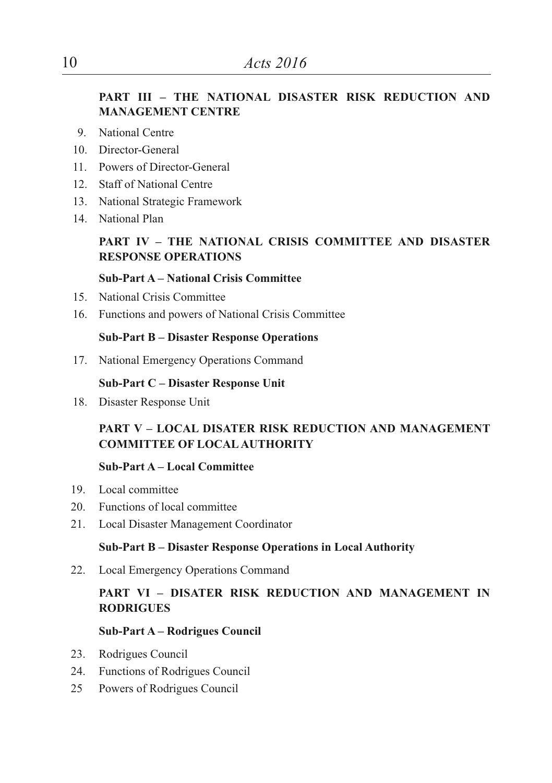#### **PART III – THE NATIONAL DISASTER RISK REDUCTION AND MANAGEMENT CENTRE**

- 9. National Centre
- 10. Director-General
- 11. Powers of Director-General
- 12. Staff of National Centre
- 13. National Strategic Framework
- 14. National Plan

#### **PART IV – THE NATIONAL CRISIS COMMITTEE AND DISASTER RESPONSE OPERATIONS**

#### **Sub-Part A – National Crisis Committee**

- 15. National Crisis Committee
- 16. Functions and powers of National Crisis Committee

#### **Sub-Part B – Disaster Response Operations**

17. National Emergency Operations Command

#### **Sub-Part C – Disaster Response Unit**

18. Disaster Response Unit

#### **PART V – LOCAL DISATER RISK REDUCTION AND MANAGEMENT COMMITTEE OF LOCALAUTHORITY**

#### **Sub-Part A – Local Committee**

- 19. Local committee
- 20. Functions of local committee
- 21. Local Disaster Management Coordinator

#### **Sub-Part B – Disaster Response Operations in Local Authority**

22. Local Emergency Operations Command

#### **PART VI – DISATER RISK REDUCTION AND MANAGEMENT IN RODRIGUES**

#### **Sub-Part A – Rodrigues Council**

- 23. Rodrigues Council
- 24. Functions of Rodrigues Council
- 25 Powers of Rodrigues Council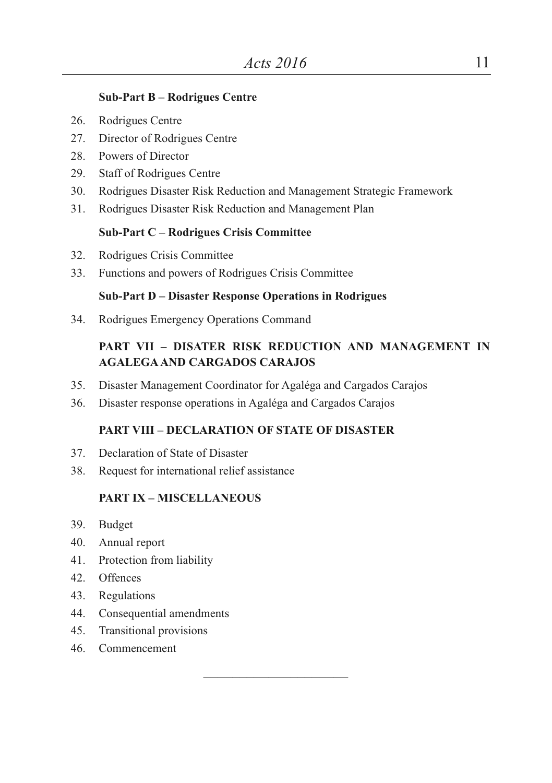#### **Sub-Part B – Rodrigues Centre**

- 26. Rodrigues Centre
- 27. Director of Rodrigues Centre
- 28. Powers of Director
- 29. Staff of Rodrigues Centre
- 30. Rodrigues Disaster Risk Reduction and Management Strategic Framework
- 31. Rodrigues Disaster Risk Reduction and Management Plan

#### **Sub-Part C – Rodrigues Crisis Committee**

- 32. Rodrigues Crisis Committee
- 33. Functions and powers of Rodrigues Crisis Committee

#### **Sub-Part D – Disaster Response Operations in Rodrigues**

34. Rodrigues Emergency Operations Command

#### **PART VII – DISATER RISK REDUCTION AND MANAGEMENT IN AGALEGAAND CARGADOS CARAJOS**

- 35. Disaster Management Coordinator for Agaléga and Cargados Carajos
- 36. Disaster response operations in Agaléga and Cargados Carajos

#### **PART VIII – DECLARATION OF STATE OF DISASTER**

 $\overline{\phantom{a}}$  , where  $\overline{\phantom{a}}$  , where  $\overline{\phantom{a}}$  , where  $\overline{\phantom{a}}$ 

- 37. Declaration of State of Disaster
- 38. Request for international relief assistance

#### **PART IX – MISCELLANEOUS**

- 39. Budget
- 40. Annual report
- 41. Protection from liability
- 42. Offences
- 43. Regulations
- 44. Consequential amendments
- 45. Transitional provisions
- 46. Commencement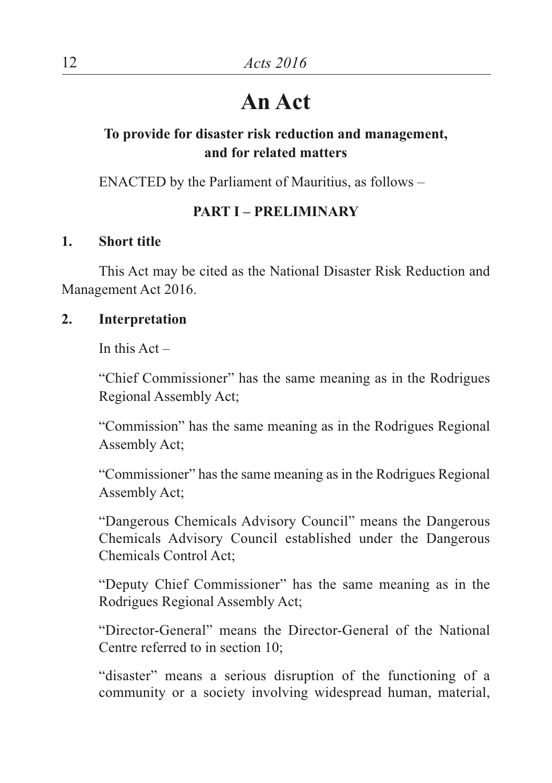# **An Act**

# **To provide for disaster risk reduction and management, and for related matters**

ENACTED by the Parliament of Mauritius, as follows –

# **PART I – PRELIMINARY**

## **1. Short title**

This Act may be cited as the National Disaster Risk Reduction and Management Act 2016.

## **2. Interpretation**

In this  $Act -$ 

"Chief Commissioner" has the same meaning as in the Rodrigues Regional Assembly Act;

"Commission" has the same meaning as in the Rodrigues Regional Assembly Act;

"Commissioner" has the same meaning as in the Rodrigues Regional Assembly Act;

"Dangerous Chemicals Advisory Council" means the Dangerous Chemicals Advisory Council established under the Dangerous Chemicals Control Act;

"Deputy Chief Commissioner" has the same meaning as in the Rodrigues Regional Assembly Act;

"Director-General" means the Director-General of the National Centre referred to in section 10;

"disaster" means a serious disruption of the functioning of a community or a society involving widespread human, material,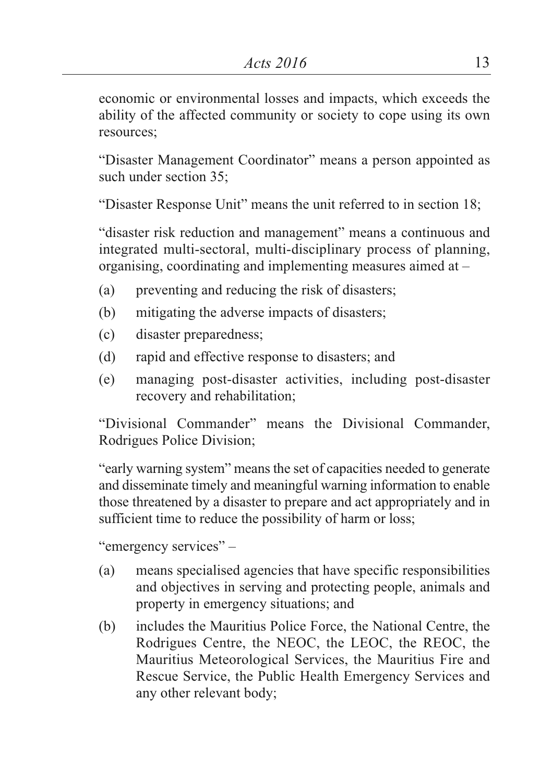economic or environmental losses and impacts, which exceeds the ability of the affected community or society to cope using its own resources;

"Disaster Management Coordinator" means a person appointed as such under section 35;

"Disaster Response Unit" means the unit referred to in section 18;

"disaster risk reduction and management" means a continuous and integrated multi-sectoral, multi-disciplinary process of planning, organising, coordinating and implementing measures aimed at –

- (a) preventing and reducing the risk of disasters;
- (b) mitigating the adverse impacts of disasters;
- (c) disaster preparedness;
- (d) rapid and effective response to disasters; and
- (e) managing post-disaster activities, including post-disaster recovery and rehabilitation;

"Divisional Commander" means the Divisional Commander, Rodrigues Police Division;

"early warning system" means the set of capacities needed to generate and disseminate timely and meaningful warning information to enable those threatened by a disaster to prepare and act appropriately and in sufficient time to reduce the possibility of harm or loss;

"emergency services" –

- (a) means specialised agencies that have specific responsibilities and objectives in serving and protecting people, animals and property in emergency situations; and
- (b) includes the Mauritius Police Force, the National Centre, the Rodrigues Centre, the NEOC, the LEOC, the REOC, the Mauritius Meteorological Services, the Mauritius Fire and Rescue Service, the Public Health Emergency Services and any other relevant body;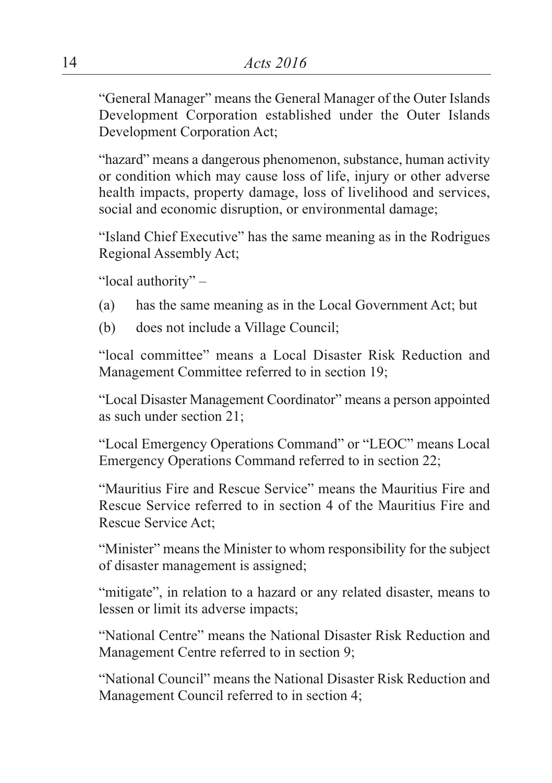"General Manager" means the General Manager of the Outer Islands Development Corporation established under the Outer Islands Development Corporation Act;

"hazard" means a dangerous phenomenon, substance, human activity or condition which may cause loss of life, injury or other adverse health impacts, property damage, loss of livelihood and services, social and economic disruption, or environmental damage;

"Island Chief Executive" has the same meaning as in the Rodrigues Regional Assembly Act;

"local authority" –

- (a) has the same meaning as in the Local Government Act; but
- (b) does not include a Village Council;

"local committee" means a Local Disaster Risk Reduction and Management Committee referred to in section 19;

"Local Disaster Management Coordinator" means a person appointed as such under section 21;

"Local Emergency Operations Command" or "LEOC" means Local Emergency Operations Command referred to in section 22;

"Mauritius Fire and Rescue Service" means the Mauritius Fire and Rescue Service referred to in section 4 of the Mauritius Fire and Rescue Service Act;

"Minister" means the Minister to whom responsibility for the subject of disaster management is assigned;

"mitigate", in relation to a hazard or any related disaster, means to lessen or limit its adverse impacts;

"National Centre" means the National Disaster Risk Reduction and Management Centre referred to in section 9;

"National Council" means the National Disaster Risk Reduction and Management Council referred to in section 4;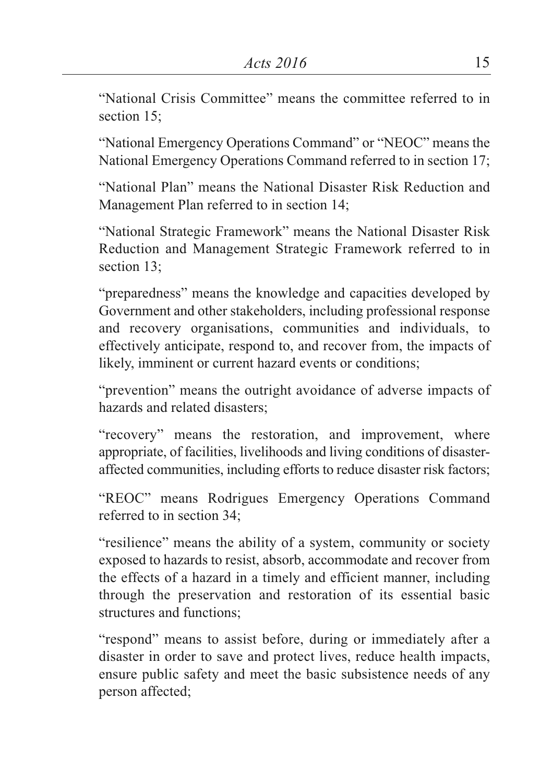"National Crisis Committee" means the committee referred to in section 15:

"National Emergency Operations Command" or "NEOC" means the National Emergency Operations Command referred to in section 17;

"National Plan" means the National Disaster Risk Reduction and Management Plan referred to in section 14;

"National Strategic Framework" means the National Disaster Risk Reduction and Management Strategic Framework referred to in section 13;

"preparedness" means the knowledge and capacities developed by Government and other stakeholders, including professional response and recovery organisations, communities and individuals, to effectively anticipate, respond to, and recover from, the impacts of likely, imminent or current hazard events or conditions;

"prevention" means the outright avoidance of adverse impacts of hazards and related disasters;

"recovery" means the restoration, and improvement, where appropriate, of facilities, livelihoods and living conditions of disasteraffected communities, including efforts to reduce disaster risk factors;

"REOC" means Rodrigues Emergency Operations Command referred to in section 34;

"resilience" means the ability of a system, community or society exposed to hazards to resist, absorb, accommodate and recover from the effects of a hazard in a timely and efficient manner, including through the preservation and restoration of its essential basic structures and functions;

"respond" means to assist before, during or immediately after a disaster in order to save and protect lives, reduce health impacts, ensure public safety and meet the basic subsistence needs of any person affected;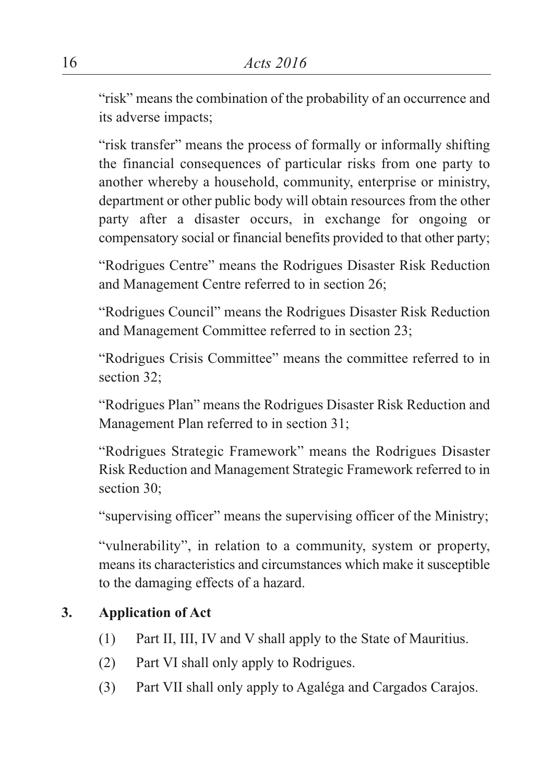"risk" means the combination of the probability of an occurrence and its adverse impacts;

"risk transfer" means the process of formally or informally shifting the financial consequences of particular risks from one party to another whereby a household, community, enterprise or ministry, department or other public body will obtain resources from the other party after a disaster occurs, in exchange for ongoing or compensatory social or financial benefits provided to that other party;

"Rodrigues Centre" means the Rodrigues Disaster Risk Reduction and Management Centre referred to in section 26;

"Rodrigues Council" means the Rodrigues Disaster Risk Reduction and Management Committee referred to in section 23;

"Rodrigues Crisis Committee" means the committee referred to in section 32;

"Rodrigues Plan" means the Rodrigues Disaster Risk Reduction and Management Plan referred to in section 31;

"Rodrigues Strategic Framework" means the Rodrigues Disaster Risk Reduction and Management Strategic Framework referred to in section 30:

"supervising officer" means the supervising officer of the Ministry;

"vulnerability", in relation to a community, system or property, means its characteristics and circumstances which make it susceptible to the damaging effects of a hazard.

# **3. Application of Act**

- (1) Part II, III, IV and V shall apply to the State of Mauritius.
- (2) Part VI shall only apply to Rodrigues.
- (3) Part VII shall only apply to Agaléga and Cargados Carajos.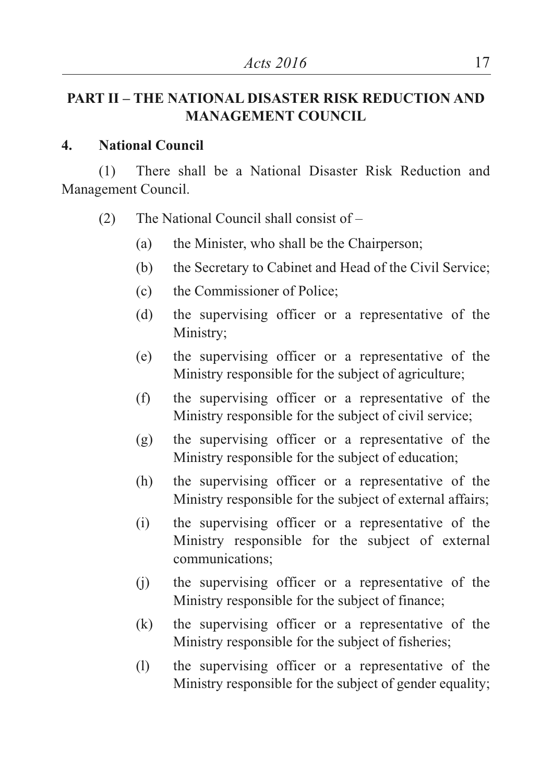# **PART II – THE NATIONAL DISASTER RISK REDUCTION AND MANAGEMENT COUNCIL**

#### **4. National Council**

(1) There shall be a National Disaster Risk Reduction and Management Council.

- (2) The National Council shall consist of
	- (a) the Minister, who shall be the Chairperson;
	- (b) the Secretary to Cabinet and Head of the Civil Service;
	- (c) the Commissioner of Police;
	- (d) the supervising officer or a representative of the Ministry;
	- (e) the supervising officer or a representative of the Ministry responsible for the subject of agriculture;
	- (f) the supervising officer or a representative of the Ministry responsible for the subject of civil service;
	- (g) the supervising officer or a representative of the Ministry responsible for the subject of education;
	- (h) the supervising officer or a representative of the Ministry responsible for the subject of external affairs;
	- (i) the supervising officer or a representative of the Ministry responsible for the subject of external communications;
	- (j) the supervising officer or a representative of the Ministry responsible for the subject of finance;
	- (k) the supervising officer or a representative of the Ministry responsible for the subject of fisheries;
	- (l) the supervising officer or a representative of the Ministry responsible for the subject of gender equality;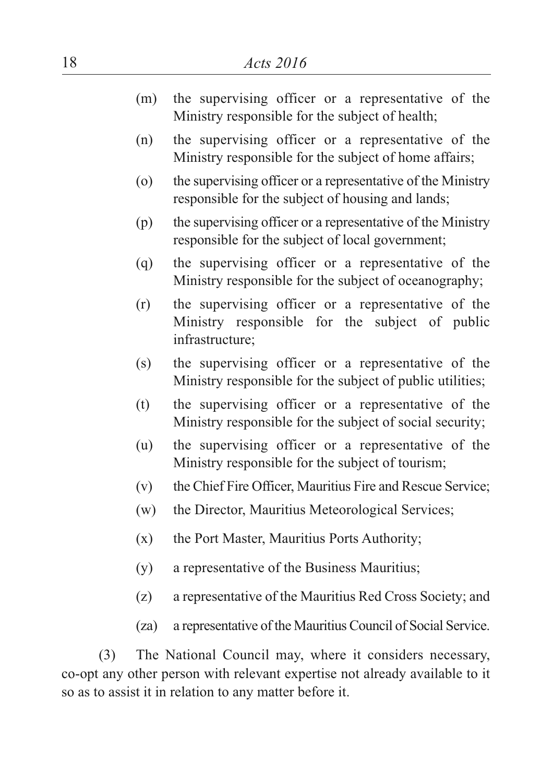- (m) the supervising officer or a representative of the Ministry responsible for the subject of health;
- (n) the supervising officer or a representative of the Ministry responsible for the subject of home affairs;
- (o) the supervising officer or a representative of the Ministry responsible for the subject of housing and lands;
- (p) the supervising officer or a representative of the Ministry responsible for the subject of local government;
- (q) the supervising officer or a representative of the Ministry responsible for the subject of oceanography;
- (r) the supervising officer or a representative of the Ministry responsible for the subject of public infrastructure;
- (s) the supervising officer or a representative of the Ministry responsible for the subject of public utilities;
- (t) the supervising officer or a representative of the Ministry responsible for the subject of social security;
- (u) the supervising officer or a representative of the Ministry responsible for the subject of tourism;
- (v) the Chief Fire Officer, Mauritius Fire and Rescue Service;
- (w) the Director, Mauritius Meteorological Services;
- (x) the Port Master, Mauritius Ports Authority;
- (y) a representative of the Business Mauritius;
- (z) a representative of the Mauritius Red Cross Society; and
- (za) a representative of the Mauritius Council of Social Service.

(3) The National Council may, where it considers necessary, co-opt any other person with relevant expertise not already available to it so as to assist it in relation to any matter before it.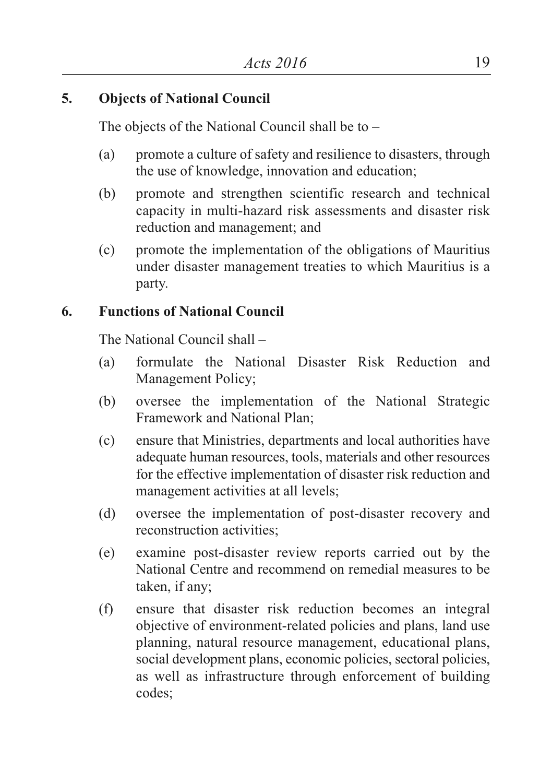## **5. Objects of National Council**

The objects of the National Council shall be to –

- (a) promote a culture of safety and resilience to disasters, through the use of knowledge, innovation and education;
- (b) promote and strengthen scientific research and technical capacity in multi-hazard risk assessments and disaster risk reduction and management; and
- (c) promote the implementation of the obligations of Mauritius under disaster management treaties to which Mauritius is a party.

## **6. Functions of National Council**

The National Council shall –

- (a) formulate the National Disaster Risk Reduction and Management Policy;
- (b) oversee the implementation of the National Strategic Framework and National Plan;
- (c) ensure that Ministries, departments and local authorities have adequate human resources, tools, materials and other resources for the effective implementation of disaster risk reduction and management activities at all levels;
- (d) oversee the implementation of post-disaster recovery and reconstruction activities;
- (e) examine post-disaster review reports carried out by the National Centre and recommend on remedial measures to be taken, if any;
- (f) ensure that disaster risk reduction becomes an integral objective of environment-related policies and plans, land use planning, natural resource management, educational plans, social development plans, economic policies, sectoral policies, as well as infrastructure through enforcement of building codes;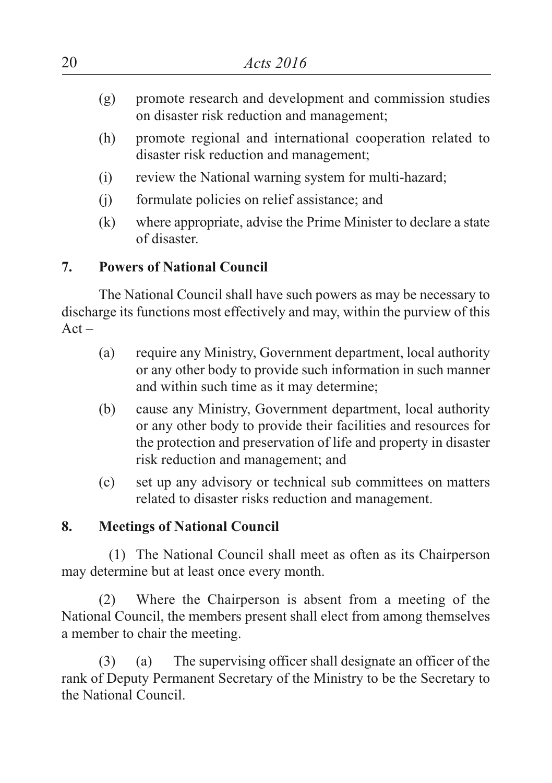- (g) promote research and development and commission studies on disaster risk reduction and management;
- (h) promote regional and international cooperation related to disaster risk reduction and management;
- (i) review the National warning system for multi-hazard;
- (j) formulate policies on relief assistance; and
- (k) where appropriate, advise the Prime Minister to declare a state of disaster.

# **7. Powers of National Council**

The National Council shall have such powers as may be necessary to discharge its functions most effectively and may, within the purview of this  $Act -$ 

- (a) require any Ministry, Government department, local authority or any other body to provide such information in such manner and within such time as it may determine;
- (b) cause any Ministry, Government department, local authority or any other body to provide their facilities and resources for the protection and preservation of life and property in disaster risk reduction and management; and
- (c) set up any advisory or technical sub committees on matters related to disaster risks reduction and management.

# **8. Meetings of National Council**

(1) The National Council shall meet as often as its Chairperson may determine but at least once every month.

(2) Where the Chairperson is absent from a meeting of the National Council, the members present shall elect from among themselves a member to chair the meeting.

(3) (a) The supervising officer shall designate an officer of the rank of Deputy Permanent Secretary of the Ministry to be the Secretary to the National Council.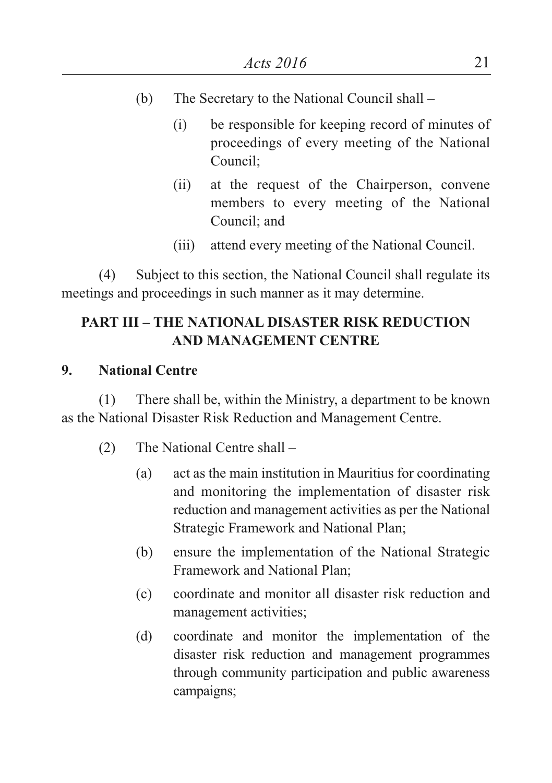- (b) The Secretary to the National Council shall
	- (i) be responsible for keeping record of minutes of proceedings of every meeting of the National Council;
	- (ii) at the request of the Chairperson, convene members to every meeting of the National Council; and
	- (iii) attend every meeting of the National Council.

(4) Subject to this section, the National Council shall regulate its meetings and proceedings in such manner as it may determine.

# **PART III – THE NATIONAL DISASTER RISK REDUCTION AND MANAGEMENT CENTRE**

#### **9. National Centre**

(1) There shall be, within the Ministry, a department to be known as the National Disaster Risk Reduction and Management Centre.

- (2) The National Centre shall
	- (a) act as the main institution in Mauritius for coordinating and monitoring the implementation of disaster risk reduction and management activities as per the National Strategic Framework and National Plan;
	- (b) ensure the implementation of the National Strategic Framework and National Plan;
	- (c) coordinate and monitor all disaster risk reduction and management activities;
	- (d) coordinate and monitor the implementation of the disaster risk reduction and management programmes through community participation and public awareness campaigns;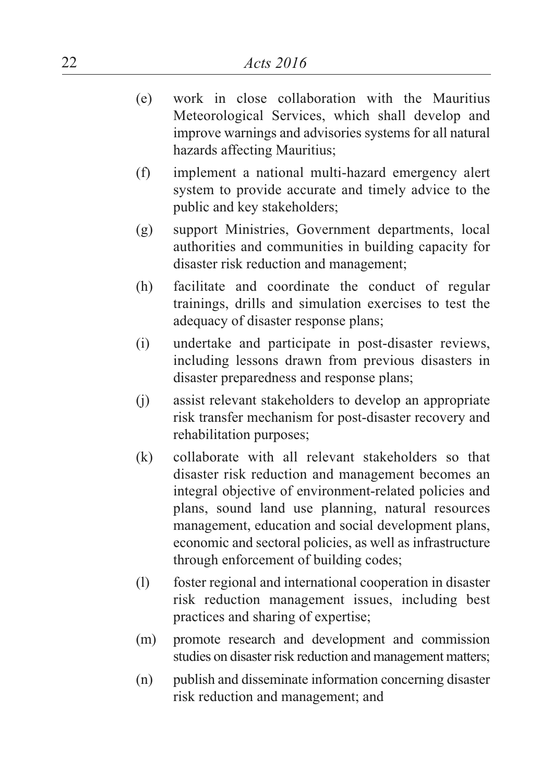- (e) work in close collaboration with the Mauritius Meteorological Services, which shall develop and improve warnings and advisories systems for all natural hazards affecting Mauritius;
- (f) implement a national multi-hazard emergency alert system to provide accurate and timely advice to the public and key stakeholders;
- (g) support Ministries, Government departments, local authorities and communities in building capacity for disaster risk reduction and management;
- (h) facilitate and coordinate the conduct of regular trainings, drills and simulation exercises to test the adequacy of disaster response plans;
- (i) undertake and participate in post-disaster reviews, including lessons drawn from previous disasters in disaster preparedness and response plans;
- (j) assist relevant stakeholders to develop an appropriate risk transfer mechanism for post-disaster recovery and rehabilitation purposes;
- (k) collaborate with all relevant stakeholders so that disaster risk reduction and management becomes an integral objective of environment-related policies and plans, sound land use planning, natural resources management, education and social development plans, economic and sectoral policies, as well as infrastructure through enforcement of building codes;
- (l) foster regional and international cooperation in disaster risk reduction management issues, including best practices and sharing of expertise;
- (m) promote research and development and commission studies on disaster risk reduction and management matters:
- (n) publish and disseminate information concerning disaster risk reduction and management; and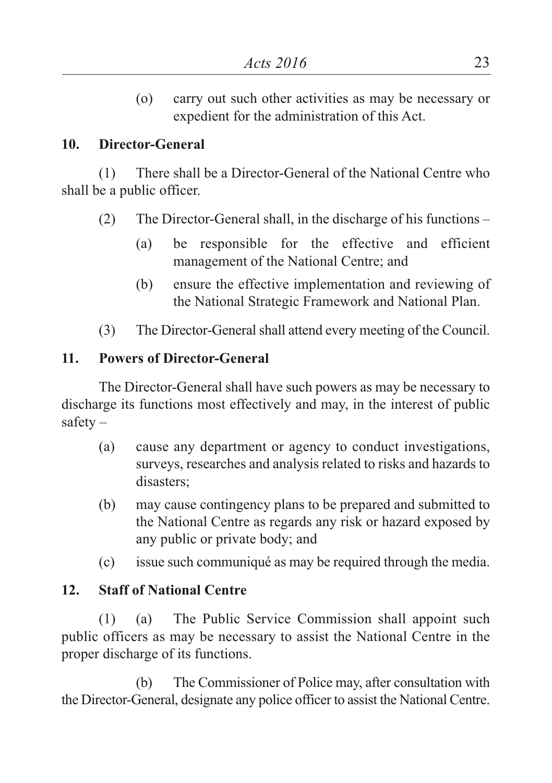(o) carry out such other activities as may be necessary or expedient for the administration of this Act.

# **10. Director-General**

(1) There shall be a Director-General of the National Centre who shall be a public officer.

- (2) The Director-General shall, in the discharge of his functions
	- (a) be responsible for the effective and efficient management of the National Centre; and
	- (b) ensure the effective implementation and reviewing of the National Strategic Framework and National Plan.
- (3) The Director-Generalshall attend every meeting of the Council.

# **11. Powers of Director-General**

The Director-General shall have such powers as may be necessary to discharge its functions most effectively and may, in the interest of public safety –

- (a) cause any department or agency to conduct investigations, surveys, researches and analysis related to risks and hazards to disasters;
- (b) may cause contingency plans to be prepared and submitted to the National Centre as regards any risk or hazard exposed by any public or private body; and
- (c) issue such communiqué as may be required through the media.

# **12. Staff of National Centre**

(1) (a) The Public Service Commission shall appoint such public officers as may be necessary to assist the National Centre in the proper discharge of its functions.

(b) The Commissioner of Police may, after consultation with the Director-General, designate any police officer to assist the National Centre.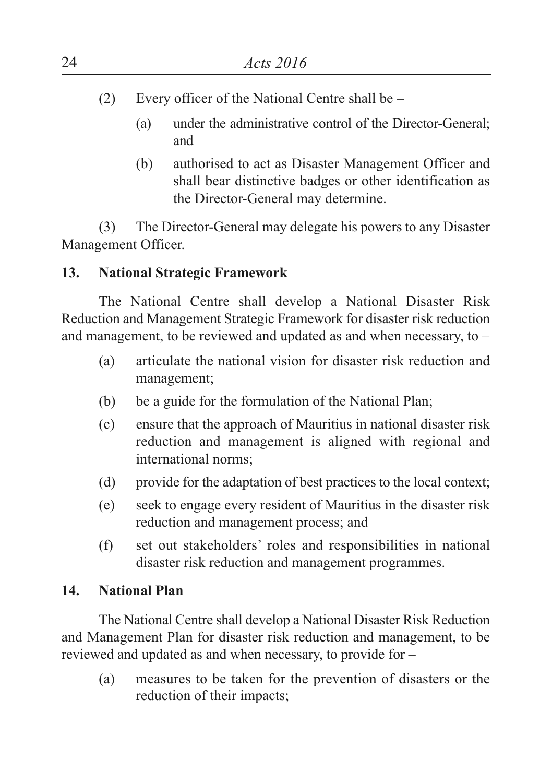- (2) Every officer of the National Centre shall be
	- (a) under the administrative control of the Director-General; and
	- (b) authorised to act as Disaster Management Officer and shall bear distinctive badges or other identification as the Director-General may determine.

(3) The Director-General may delegate his powers to any Disaster Management Officer.

# **13. National Strategic Framework**

The National Centre shall develop a National Disaster Risk Reduction and Management Strategic Framework for disaster risk reduction and management, to be reviewed and updated as and when necessary, to –

- (a) articulate the national vision for disaster risk reduction and management;
- (b) be a guide for the formulation of the National Plan;
- (c) ensure that the approach of Mauritius in national disaster risk reduction and management is aligned with regional and international norms;
- (d) provide for the adaptation of best practices to the local context;
- (e) seek to engage every resident of Mauritius in the disaster risk reduction and management process; and
- (f) set out stakeholders' roles and responsibilities in national disaster risk reduction and management programmes.

## **14. National Plan**

The National Centre shall develop a National Disaster Risk Reduction and Management Plan for disaster risk reduction and management, to be reviewed and updated as and when necessary, to provide for –

(a) measures to be taken for the prevention of disasters or the reduction of their impacts;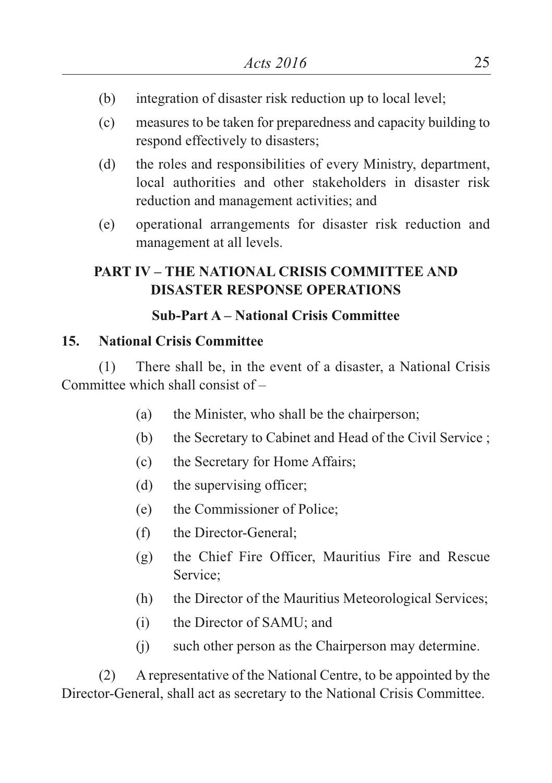- (b) integration of disaster risk reduction up to local level;
- (c) measures to be taken for preparedness and capacity building to respond effectively to disasters;
- (d) the roles and responsibilities of every Ministry, department, local authorities and other stakeholders in disaster risk reduction and management activities; and
- (e) operational arrangements for disaster risk reduction and management at all levels.

# **PART IV – THE NATIONAL CRISIS COMMITTEE AND DISASTER RESPONSE OPERATIONS**

# **Sub-Part A – National Crisis Committee**

# **15. National Crisis Committee**

(1) There shall be, in the event of a disaster, a National Crisis Committee which shall consist of –

- (a) the Minister, who shall be the chairperson;
- (b) the Secretary to Cabinet and Head of the Civil Service ;
- (c) the Secretary for Home Affairs;
- (d) the supervising officer;
- (e) the Commissioner of Police;
- (f) the Director-General;
- (g) the Chief Fire Officer, Mauritius Fire and Rescue Service;
- (h) the Director of the Mauritius Meteorological Services;
- (i) the Director of SAMU; and
- (j) such other person as the Chairperson may determine.

(2) A representative of the National Centre, to be appointed by the Director-General, shall act as secretary to the National Crisis Committee.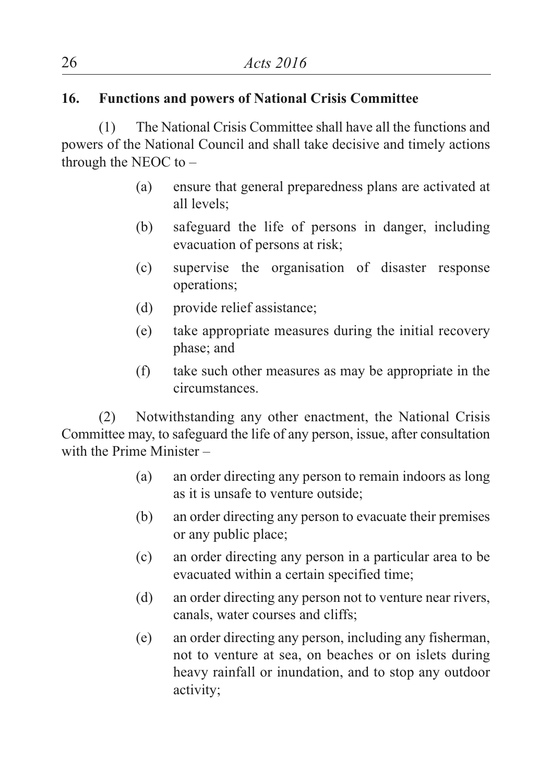# **16. Functions and powers of National Crisis Committee**

(1) The National Crisis Committee shall have all the functions and powers of the National Council and shall take decisive and timely actions through the NEOC to –

- (a) ensure that general preparedness plans are activated at all levels;
- (b) safeguard the life of persons in danger, including evacuation of persons at risk;
- (c) supervise the organisation of disaster response operations;
- (d) provide relief assistance;
- (e) take appropriate measures during the initial recovery phase; and
- (f) take such other measures as may be appropriate in the circumstances.

(2) Notwithstanding any other enactment, the National Crisis Committee may, to safeguard the life of any person, issue, after consultation with the Prime Minister –

- (a) an order directing any person to remain indoors as long as it is unsafe to venture outside;
- (b) an order directing any person to evacuate their premises or any public place;
- (c) an order directing any person in a particular area to be evacuated within a certain specified time;
- (d) an order directing any person not to venture near rivers, canals, water courses and cliffs;
- (e) an order directing any person, including any fisherman, not to venture at sea, on beaches or on islets during heavy rainfall or inundation, and to stop any outdoor activity;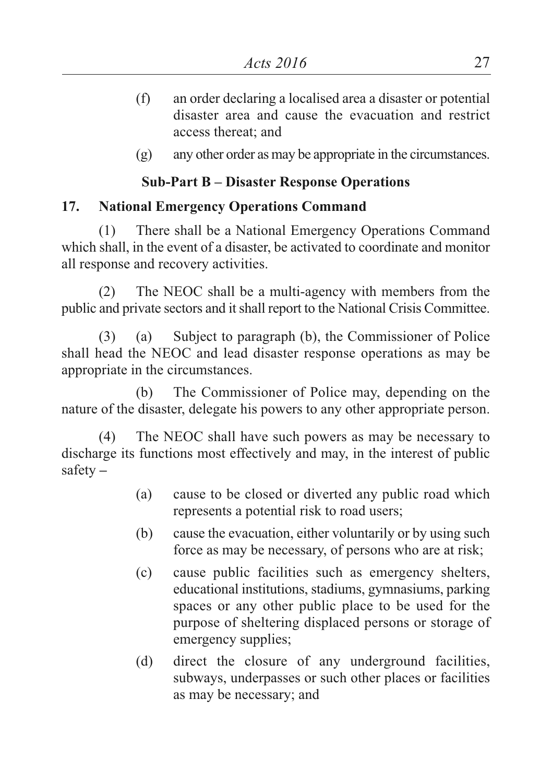- (f) an order declaring a localised area a disaster or potential disaster area and cause the evacuation and restrict access thereat; and
- (g) any other order as may be appropriate in the circumstances.

# **Sub-Part B – Disaster Response Operations**

## **17. National Emergency Operations Command**

(1) There shall be a National Emergency Operations Command which shall, in the event of a disaster, be activated to coordinate and monitor all response and recovery activities.

(2) The NEOC shall be a multi-agency with members from the public and private sectors and itshall report to the National Crisis Committee.

(3) (a) Subject to paragraph (b), the Commissioner of Police shall head the NEOC and lead disaster response operations as may be appropriate in the circumstances.

(b) The Commissioner of Police may, depending on the nature of the disaster, delegate his powers to any other appropriate person.

(4) The NEOC shall have such powers as may be necessary to discharge its functions most effectively and may, in the interest of public safety **–**

- (a) cause to be closed or diverted any public road which represents a potential risk to road users;
- (b) cause the evacuation, either voluntarily or by using such force as may be necessary, of persons who are at risk;
- (c) cause public facilities such as emergency shelters, educational institutions, stadiums, gymnasiums, parking spaces or any other public place to be used for the purpose of sheltering displaced persons or storage of emergency supplies;
- (d) direct the closure of any underground facilities, subways, underpasses or such other places or facilities as may be necessary; and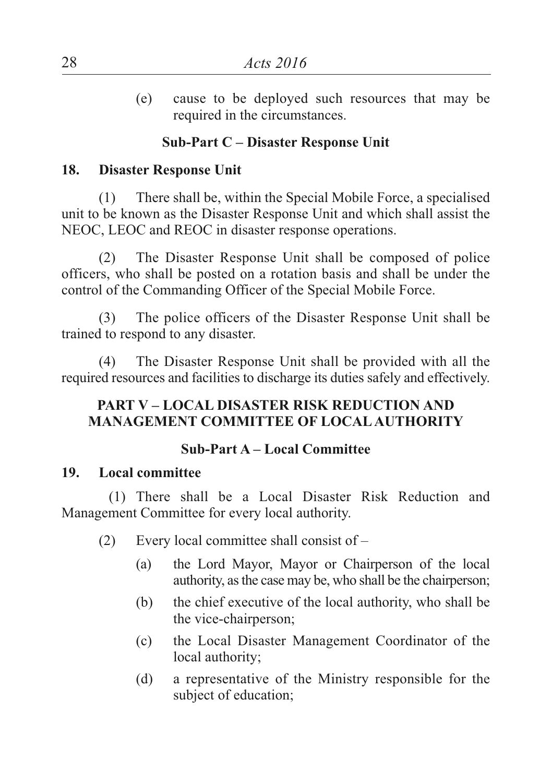(e) cause to be deployed such resources that may be required in the circumstances.

# **Sub-Part C – Disaster Response Unit**

#### **18. Disaster Response Unit**

(1) There shall be, within the Special Mobile Force, a specialised unit to be known as the Disaster Response Unit and which shall assist the NEOC, LEOC and REOC in disaster response operations.

(2) The Disaster Response Unit shall be composed of police officers, who shall be posted on a rotation basis and shall be under the control of the Commanding Officer of the Special Mobile Force.

(3) The police officers of the Disaster Response Unit shall be trained to respond to any disaster.

(4) The Disaster Response Unit shall be provided with all the required resources and facilities to discharge its duties safely and effectively.

### **PART V – LOCAL DISASTER RISK REDUCTION AND MANAGEMENT COMMITTEE OF LOCALAUTHORITY**

### **Sub-Part A – Local Committee**

#### **19. Local committee**

(1) There shall be a Local Disaster Risk Reduction and Management Committee for every local authority.

- (2) Every local committee shall consist of
	- (a) the Lord Mayor, Mayor or Chairperson of the local authority, asthe case may be, who shall be the chairperson;
	- (b) the chief executive of the local authority, who shall be the vice-chairperson;
	- (c) the Local Disaster Management Coordinator of the local authority;
	- (d) a representative of the Ministry responsible for the subject of education;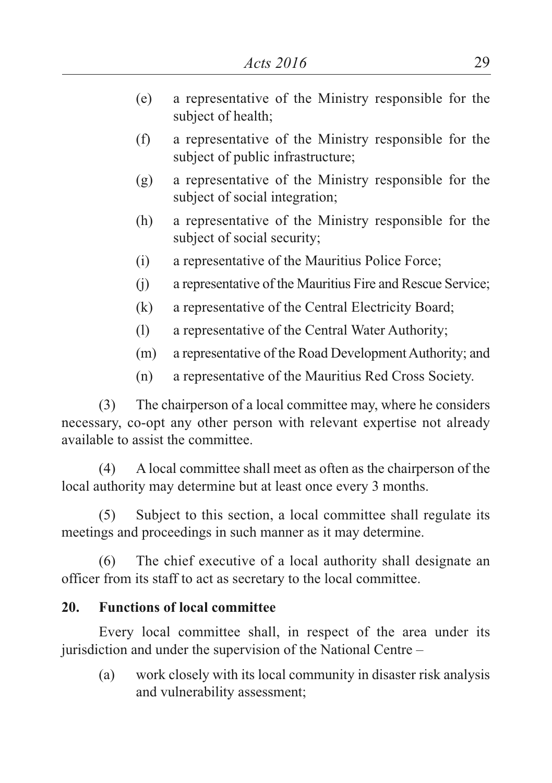- (e) a representative of the Ministry responsible for the subject of health;
- (f) a representative of the Ministry responsible for the subject of public infrastructure;
- (g) a representative of the Ministry responsible for the subject of social integration;
- (h) a representative of the Ministry responsible for the subject of social security;
- (i) a representative of the Mauritius Police Force;
- (j) a representative of the Mauritius Fire and Rescue Service;
- (k) a representative of the Central Electricity Board;
- (l) a representative of the Central Water Authority;
- (m) a representative of the Road Development Authority; and
- (n) a representative of the Mauritius Red Cross Society.

(3) The chairperson of a local committee may, where he considers necessary, co-opt any other person with relevant expertise not already available to assist the committee.

(4) A local committee shall meet as often as the chairperson of the local authority may determine but at least once every 3 months.

(5) Subject to this section, a local committee shall regulate its meetings and proceedings in such manner as it may determine.

(6) The chief executive of a local authority shall designate an officer from its staff to act as secretary to the local committee.

# **20. Functions of local committee**

Every local committee shall, in respect of the area under its jurisdiction and under the supervision of the National Centre –

(a) work closely with its local community in disaster risk analysis and vulnerability assessment;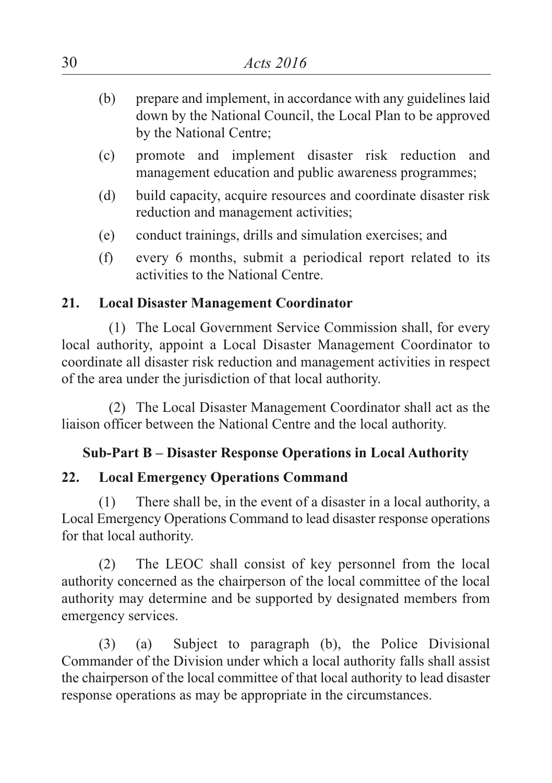- (b) prepare and implement, in accordance with any guidelines laid down by the National Council, the Local Plan to be approved by the National Centre;
- (c) promote and implement disaster risk reduction and management education and public awareness programmes;
- (d) build capacity, acquire resources and coordinate disaster risk reduction and management activities;
- (e) conduct trainings, drills and simulation exercises; and
- (f) every 6 months, submit a periodical report related to its activities to the National Centre.

# **21. Local Disaster Management Coordinator**

(1) The Local Government Service Commission shall, for every local authority, appoint a Local Disaster Management Coordinator to coordinate all disaster risk reduction and management activities in respect of the area under the jurisdiction of that local authority.

(2) The Local Disaster Management Coordinator shall act as the liaison officer between the National Centre and the local authority.

# **Sub-Part B – Disaster Response Operations in Local Authority**

# **22. Local Emergency Operations Command**

(1) There shall be, in the event of a disaster in a local authority, a Local Emergency Operations Command to lead disaster response operations for that local authority.

(2) The LEOC shall consist of key personnel from the local authority concerned as the chairperson of the local committee of the local authority may determine and be supported by designated members from emergency services.

(3) (a) Subject to paragraph (b), the Police Divisional Commander of the Division under which a local authority falls shall assist the chairperson of the local committee of that local authority to lead disaster response operations as may be appropriate in the circumstances.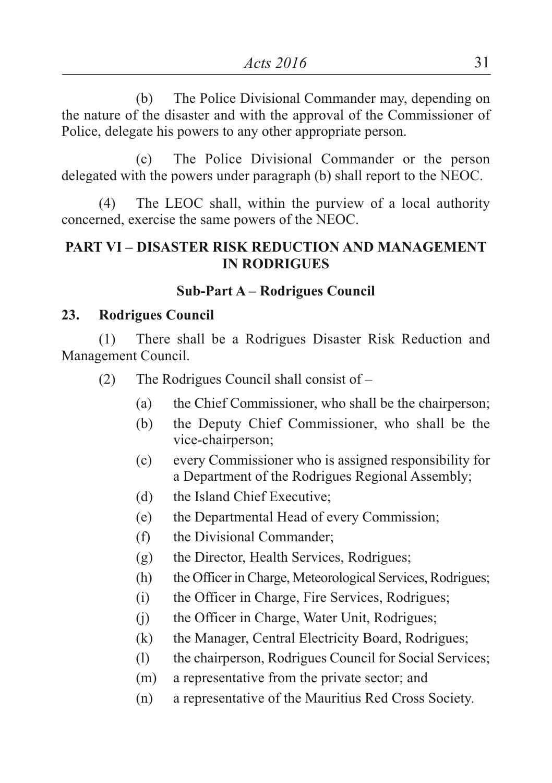(b) The Police Divisional Commander may, depending on the nature of the disaster and with the approval of the Commissioner of Police, delegate his powers to any other appropriate person.

(c) The Police Divisional Commander or the person delegated with the powers under paragraph (b) shall report to the NEOC.

(4) The LEOC shall, within the purview of a local authority concerned, exercise the same powers of the NEOC.

## **PART VI – DISASTER RISK REDUCTION AND MANAGEMENT IN RODRIGUES**

## **Sub-Part A – Rodrigues Council**

### **23. Rodrigues Council**

(1) There shall be a Rodrigues Disaster Risk Reduction and Management Council.

- (2) The Rodrigues Council shall consist of
	- (a) the Chief Commissioner, who shall be the chairperson;
	- (b) the Deputy Chief Commissioner, who shall be the vice-chairperson;
	- (c) every Commissioner who is assigned responsibility for a Department of the Rodrigues Regional Assembly;
	- (d) the Island Chief Executive;
	- (e) the Departmental Head of every Commission;
	- (f) the Divisional Commander;
	- (g) the Director, Health Services, Rodrigues;
	- (h) the Officer in Charge, Meteorological Services, Rodrigues;
	- (i) the Officer in Charge, Fire Services, Rodrigues;
	- (j) the Officer in Charge, Water Unit, Rodrigues;
	- (k) the Manager, Central Electricity Board, Rodrigues;
	- (l) the chairperson, Rodrigues Council for Social Services;
	- (m) a representative from the private sector; and
	- (n) a representative of the Mauritius Red Cross Society.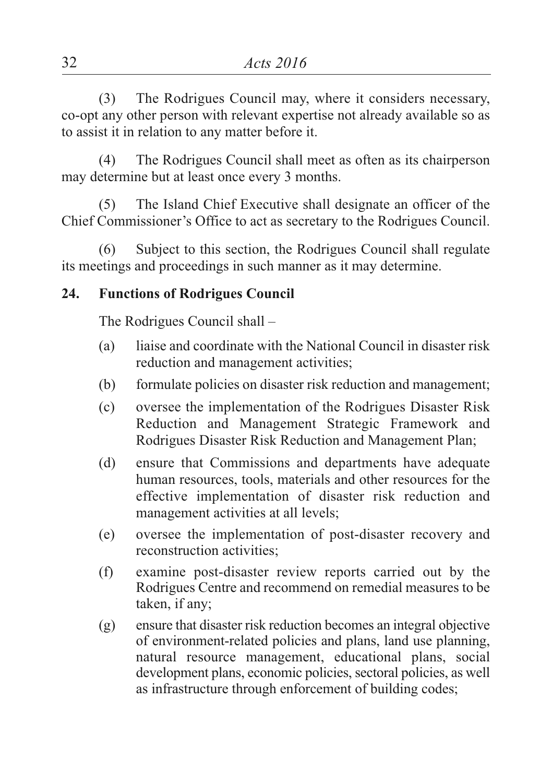(3) The Rodrigues Council may, where it considers necessary, co-opt any other person with relevant expertise not already available so as to assist it in relation to any matter before it.

(4) The Rodrigues Council shall meet as often as its chairperson may determine but at least once every 3 months.

(5) The Island Chief Executive shall designate an officer of the Chief Commissioner's Office to act as secretary to the Rodrigues Council.

(6) Subject to this section, the Rodrigues Council shall regulate its meetings and proceedings in such manner as it may determine.

## **24. Functions of Rodrigues Council**

The Rodrigues Council shall –

- (a) liaise and coordinate with the National Council in disaster risk reduction and management activities;
- (b) formulate policies on disaster risk reduction and management;
- (c) oversee the implementation of the Rodrigues Disaster Risk Reduction and Management Strategic Framework and Rodrigues Disaster Risk Reduction and Management Plan;
- (d) ensure that Commissions and departments have adequate human resources, tools, materials and other resources for the effective implementation of disaster risk reduction and management activities at all levels;
- (e) oversee the implementation of post-disaster recovery and reconstruction activities;
- (f) examine post-disaster review reports carried out by the Rodrigues Centre and recommend on remedial measures to be taken, if any;
- (g) ensure that disaster risk reduction becomes an integral objective of environment-related policies and plans, land use planning, natural resource management, educational plans, social development plans, economic policies, sectoral policies, as well as infrastructure through enforcement of building codes;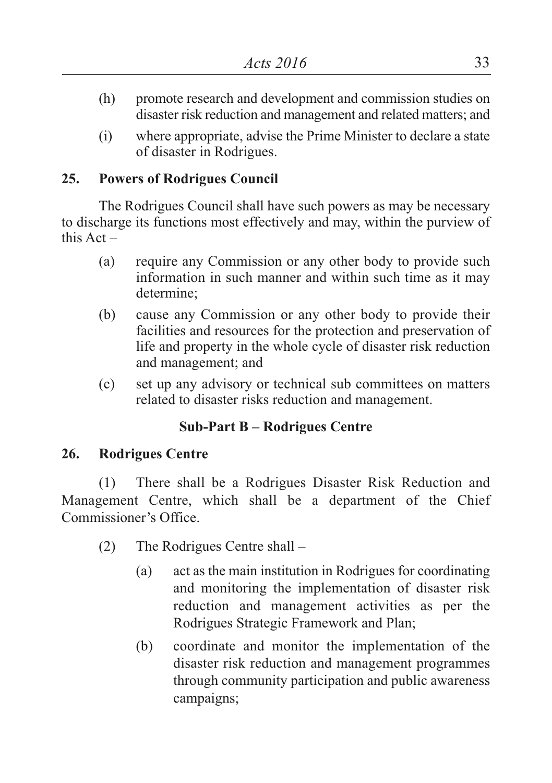- (h) promote research and development and commission studies on disaster risk reduction and management and related matters; and
- (i) where appropriate, advise the Prime Minister to declare a state of disaster in Rodrigues.

# **25. Powers of Rodrigues Council**

The Rodrigues Council shall have such powers as may be necessary to discharge its functions most effectively and may, within the purview of this  $Act =$ 

- (a) require any Commission or any other body to provide such information in such manner and within such time as it may determine;
- (b) cause any Commission or any other body to provide their facilities and resources for the protection and preservation of life and property in the whole cycle of disaster risk reduction and management; and
- (c) set up any advisory or technical sub committees on matters related to disaster risks reduction and management.

# **Sub-Part B – Rodrigues Centre**

### **26. Rodrigues Centre**

(1) There shall be a Rodrigues Disaster Risk Reduction and Management Centre, which shall be a department of the Chief Commissioner's Office.

- (2) The Rodrigues Centre shall
	- (a) act as the main institution in Rodrigues for coordinating and monitoring the implementation of disaster risk reduction and management activities as per the Rodrigues Strategic Framework and Plan;
	- (b) coordinate and monitor the implementation of the disaster risk reduction and management programmes through community participation and public awareness campaigns;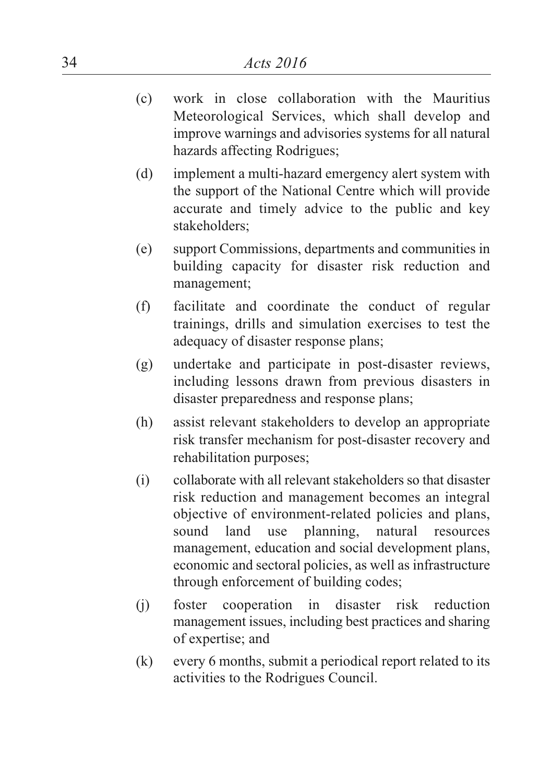- (c) work in close collaboration with the Mauritius Meteorological Services, which shall develop and improve warnings and advisories systems for all natural hazards affecting Rodrigues;
- (d) implement a multi-hazard emergency alert system with the support of the National Centre which will provide accurate and timely advice to the public and key stakeholders;
- (e) support Commissions, departments and communities in building capacity for disaster risk reduction and management;
- (f) facilitate and coordinate the conduct of regular trainings, drills and simulation exercises to test the adequacy of disaster response plans;
- (g) undertake and participate in post-disaster reviews, including lessons drawn from previous disasters in disaster preparedness and response plans;
- (h) assist relevant stakeholders to develop an appropriate risk transfer mechanism for post-disaster recovery and rehabilitation purposes;
- (i) collaborate with all relevant stakeholders so that disaster risk reduction and management becomes an integral objective of environment-related policies and plans, sound land use planning, natural resources management, education and social development plans, economic and sectoral policies, as well as infrastructure through enforcement of building codes;
- (j) foster cooperation in disaster risk reduction management issues, including best practices and sharing of expertise; and
- (k) every 6 months, submit a periodical report related to its activities to the Rodrigues Council.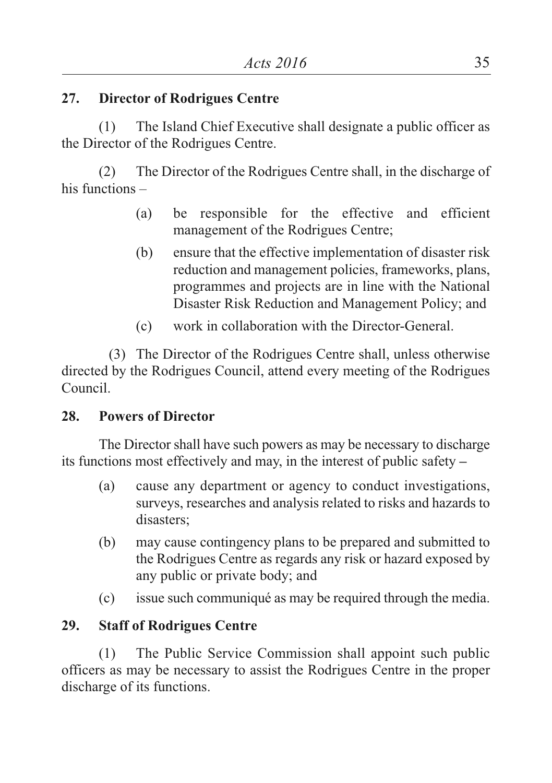## **27. Director of Rodrigues Centre**

(1) The Island Chief Executive shall designate a public officer as the Director of the Rodrigues Centre.

(2) The Director of the Rodrigues Centre shall, in the discharge of his functions –

- (a) be responsible for the effective and efficient management of the Rodrigues Centre;
- (b) ensure that the effective implementation of disaster risk reduction and management policies, frameworks, plans, programmes and projects are in line with the National Disaster Risk Reduction and Management Policy; and
- (c) work in collaboration with the Director-General.

(3) The Director of the Rodrigues Centre shall, unless otherwise directed by the Rodrigues Council, attend every meeting of the Rodrigues Council.

### **28. Powers of Director**

The Director shall have such powers as may be necessary to discharge its functions most effectively and may, in the interest of public safety **–**

- (a) cause any department or agency to conduct investigations, surveys, researches and analysis related to risks and hazards to disasters;
- (b) may cause contingency plans to be prepared and submitted to the Rodrigues Centre as regards any risk or hazard exposed by any public or private body; and
- (c) issue such communiqué as may be required through the media.

# **29. Staff of Rodrigues Centre**

(1) The Public Service Commission shall appoint such public officers as may be necessary to assist the Rodrigues Centre in the proper discharge of its functions.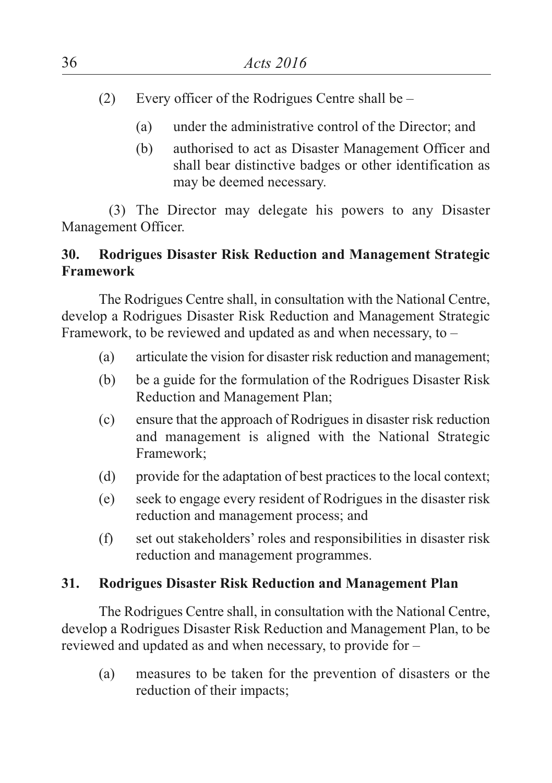- (2) Every officer of the Rodrigues Centre shall be
	- (a) under the administrative control of the Director; and
	- (b) authorised to act as Disaster Management Officer and shall bear distinctive badges or other identification as may be deemed necessary.

(3) The Director may delegate his powers to any Disaster Management Officer.

# **30. Rodrigues Disaster Risk Reduction and Management Strategic Framework**

The Rodrigues Centre shall, in consultation with the National Centre, develop a Rodrigues Disaster Risk Reduction and Management Strategic Framework, to be reviewed and updated as and when necessary, to –

- (a) articulate the vision for disaster risk reduction and management;
- (b) be a guide for the formulation of the Rodrigues Disaster Risk Reduction and Management Plan;
- (c) ensure that the approach of Rodrigues in disaster risk reduction and management is aligned with the National Strategic Framework;
- (d) provide for the adaptation of best practices to the local context;
- (e) seek to engage every resident of Rodrigues in the disaster risk reduction and management process; and
- (f) set out stakeholders' roles and responsibilities in disaster risk reduction and management programmes.

# **31. Rodrigues Disaster Risk Reduction and Management Plan**

The Rodrigues Centre shall, in consultation with the National Centre, develop a Rodrigues Disaster Risk Reduction and Management Plan, to be reviewed and updated as and when necessary, to provide for –

(a) measures to be taken for the prevention of disasters or the reduction of their impacts;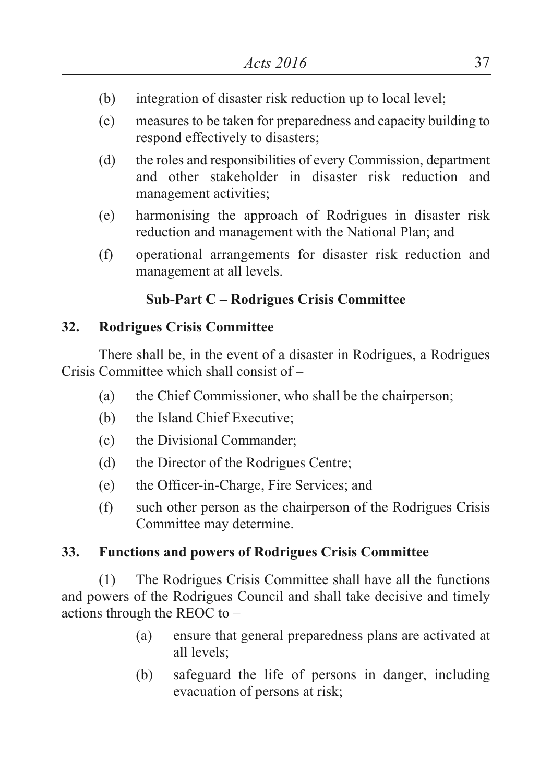- (b) integration of disaster risk reduction up to local level;
- (c) measures to be taken for preparedness and capacity building to respond effectively to disasters;
- (d) the roles and responsibilities of every Commission, department and other stakeholder in disaster risk reduction and management activities;
- (e) harmonising the approach of Rodrigues in disaster risk reduction and management with the National Plan; and
- (f) operational arrangements for disaster risk reduction and management at all levels.

# **Sub-Part C – Rodrigues Crisis Committee**

# **32. Rodrigues Crisis Committee**

There shall be, in the event of a disaster in Rodrigues, a Rodrigues Crisis Committee which shall consist of –

- (a) the Chief Commissioner, who shall be the chairperson;
- (b) the Island Chief Executive;
- (c) the Divisional Commander;
- (d) the Director of the Rodrigues Centre;
- (e) the Officer-in-Charge, Fire Services; and
- (f) such other person as the chairperson of the Rodrigues Crisis Committee may determine.

# **33. Functions and powers of Rodrigues Crisis Committee**

(1) The Rodrigues Crisis Committee shall have all the functions and powers of the Rodrigues Council and shall take decisive and timely actions through the REOC to –

- (a) ensure that general preparedness plans are activated at all levels;
- (b) safeguard the life of persons in danger, including evacuation of persons at risk;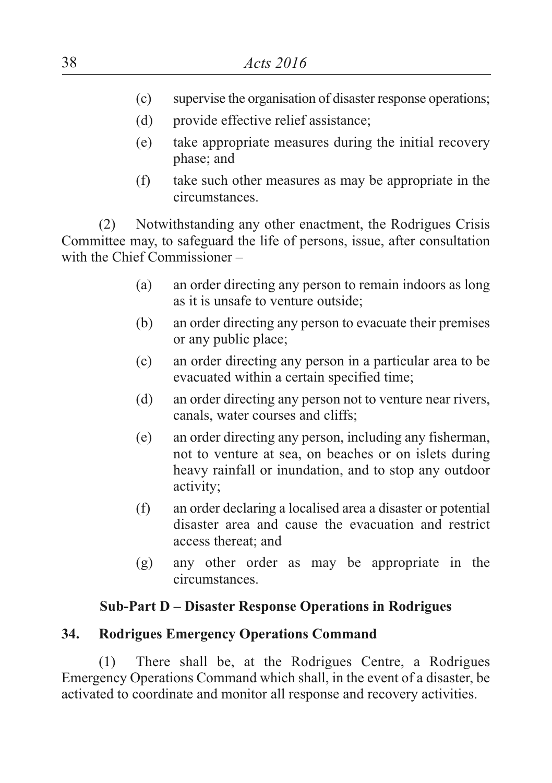- (c) supervise the organisation of disaster response operations;
- (d) provide effective relief assistance;
- (e) take appropriate measures during the initial recovery phase; and
- (f) take such other measures as may be appropriate in the circumstances.

(2) Notwithstanding any other enactment, the Rodrigues Crisis Committee may, to safeguard the life of persons, issue, after consultation with the Chief Commissioner –

- (a) an order directing any person to remain indoors as long as it is unsafe to venture outside;
- (b) an order directing any person to evacuate their premises or any public place;
- (c) an order directing any person in a particular area to be evacuated within a certain specified time;
- (d) an order directing any person not to venture near rivers, canals, water courses and cliffs;
- (e) an order directing any person, including any fisherman, not to venture at sea, on beaches or on islets during heavy rainfall or inundation, and to stop any outdoor activity;
- (f) an order declaring a localised area a disaster or potential disaster area and cause the evacuation and restrict access thereat; and
- (g) any other order as may be appropriate in the circumstances.

### **Sub-Part D – Disaster Response Operations in Rodrigues**

### **34. Rodrigues Emergency Operations Command**

(1) There shall be, at the Rodrigues Centre, a Rodrigues Emergency Operations Command which shall, in the event of a disaster, be activated to coordinate and monitor all response and recovery activities.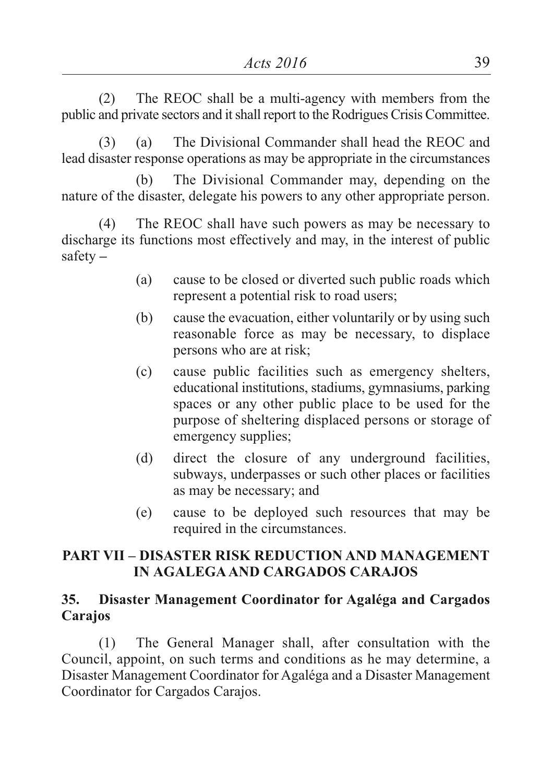(2) The REOC shall be a multi-agency with members from the public and private sectors and itshall report to the Rodrigues Crisis Committee.

(3) (a) The Divisional Commander shall head the REOC and lead disaster response operations as may be appropriate in the circumstances

(b) The Divisional Commander may, depending on the nature of the disaster, delegate his powers to any other appropriate person.

(4) The REOC shall have such powers as may be necessary to discharge its functions most effectively and may, in the interest of public safety **–**

- (a) cause to be closed or diverted such public roads which represent a potential risk to road users;
- (b) cause the evacuation, either voluntarily or by using such reasonable force as may be necessary, to displace persons who are at risk;
- (c) cause public facilities such as emergency shelters, educational institutions, stadiums, gymnasiums, parking spaces or any other public place to be used for the purpose of sheltering displaced persons or storage of emergency supplies;
- (d) direct the closure of any underground facilities, subways, underpasses or such other places or facilities as may be necessary; and
- (e) cause to be deployed such resources that may be required in the circumstances.

## **PART VII – DISASTER RISK REDUCTION AND MANAGEMENT IN AGALEGAAND CARGADOS CARAJOS**

#### **35. Disaster Management Coordinator for Agaléga and Cargados Carajos**

(1) The General Manager shall, after consultation with the Council, appoint, on such terms and conditions as he may determine, a Disaster Management Coordinator for Agaléga and a Disaster Management Coordinator for Cargados Carajos.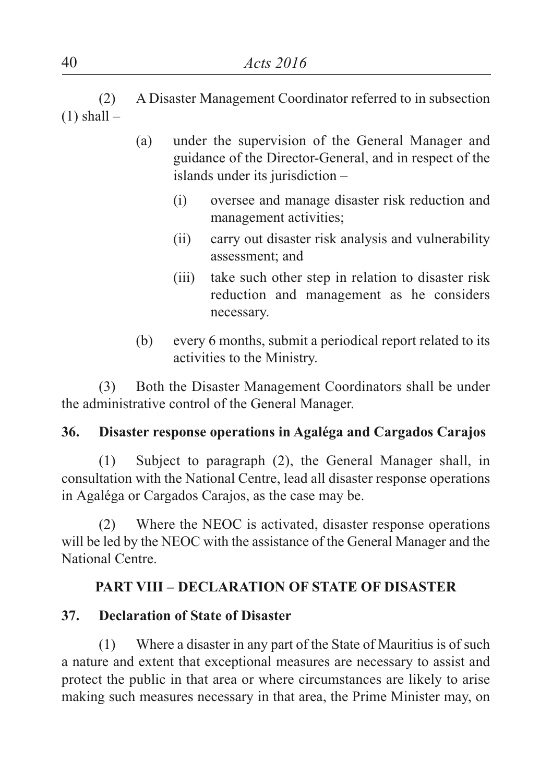(2) A Disaster Management Coordinator referred to in subsection  $(1)$  shall –

- (a) under the supervision of the General Manager and guidance of the Director-General, and in respect of the islands under its jurisdiction –
	- (i) oversee and manage disaster risk reduction and management activities;
	- (ii) carry out disaster risk analysis and vulnerability assessment; and
	- (iii) take such other step in relation to disaster risk reduction and management as he considers necessary.
- (b) every 6 months, submit a periodical report related to its activities to the Ministry.

(3) Both the Disaster Management Coordinators shall be under the administrative control of the General Manager.

# **36. Disaster response operations in Agaléga and Cargados Carajos**

(1) Subject to paragraph (2), the General Manager shall, in consultation with the National Centre, lead all disaster response operations in Agaléga or Cargados Carajos, as the case may be.

(2) Where the NEOC is activated, disaster response operations will be led by the NEOC with the assistance of the General Manager and the National Centre.

# **PART VIII – DECLARATION OF STATE OF DISASTER**

# **37. Declaration of State of Disaster**

(1) Where a disaster in any part of the State of Mauritius is of such a nature and extent that exceptional measures are necessary to assist and protect the public in that area or where circumstances are likely to arise making such measures necessary in that area, the Prime Minister may, on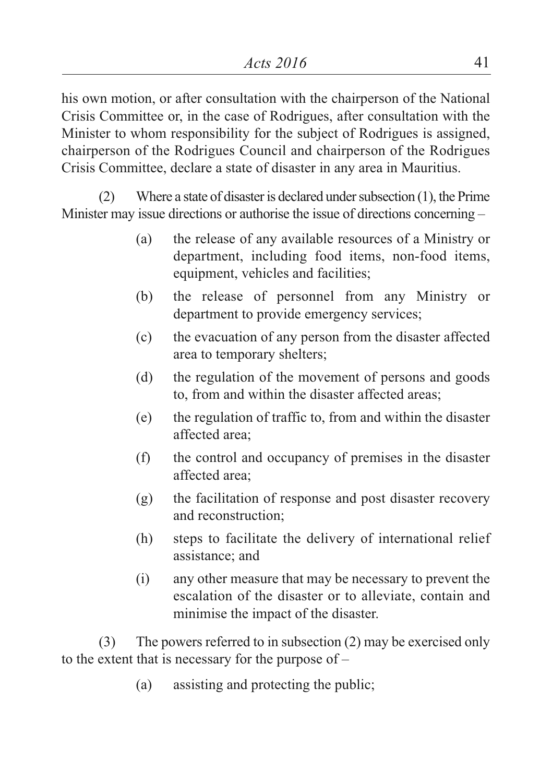his own motion, or after consultation with the chairperson of the National Crisis Committee or, in the case of Rodrigues, after consultation with the Minister to whom responsibility for the subject of Rodrigues is assigned, chairperson of the Rodrigues Council and chairperson of the Rodrigues Crisis Committee, declare a state of disaster in any area in Mauritius.

(2) Where a state of disaster is declared under subsection  $(1)$ , the Prime Minister may issue directions or authorise the issue of directions concerning –

- (a) the release of any available resources of a Ministry or department, including food items, non-food items, equipment, vehicles and facilities;
- (b) the release of personnel from any Ministry or department to provide emergency services;
- (c) the evacuation of any person from the disaster affected area to temporary shelters;
- (d) the regulation of the movement of persons and goods to, from and within the disaster affected areas;
- (e) the regulation of traffic to, from and within the disaster affected area;
- (f) the control and occupancy of premises in the disaster affected area;
- (g) the facilitation of response and post disaster recovery and reconstruction;
- (h) steps to facilitate the delivery of international relief assistance; and
- (i) any other measure that may be necessary to prevent the escalation of the disaster or to alleviate, contain and minimise the impact of the disaster.

(3) The powers referred to in subsection (2) may be exercised only to the extent that is necessary for the purpose of –

(a) assisting and protecting the public;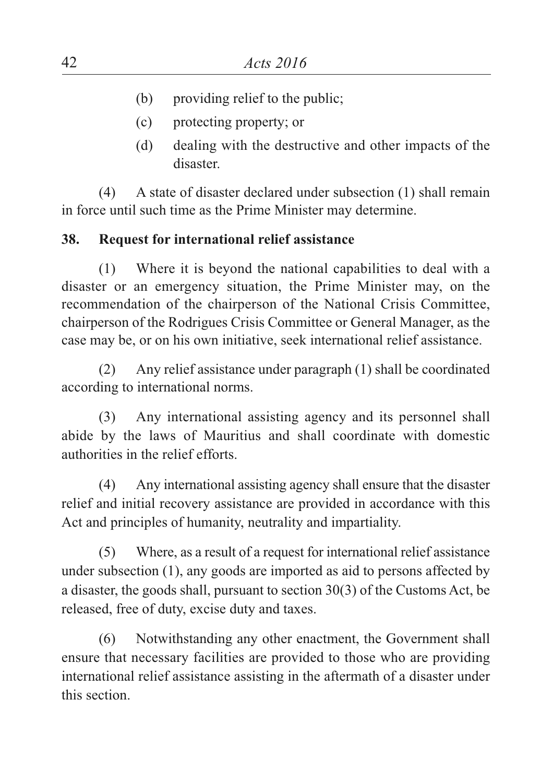- (b) providing relief to the public;
- (c) protecting property; or
- (d) dealing with the destructive and other impacts of the disaster.

(4) A state of disaster declared under subsection (1) shall remain in force until such time as the Prime Minister may determine.

## **38. Request for international relief assistance**

(1) Where it is beyond the national capabilities to deal with a disaster or an emergency situation, the Prime Minister may, on the recommendation of the chairperson of the National Crisis Committee, chairperson of the Rodrigues Crisis Committee or General Manager, as the case may be, or on his own initiative, seek international relief assistance.

(2) Any relief assistance under paragraph (1) shall be coordinated according to international norms.

(3) Any international assisting agency and its personnel shall abide by the laws of Mauritius and shall coordinate with domestic authorities in the relief efforts.

(4) Any international assisting agency shall ensure that the disaster relief and initial recovery assistance are provided in accordance with this Act and principles of humanity, neutrality and impartiality.

(5) Where, as a result of a request for international relief assistance under subsection (1), any goods are imported as aid to persons affected by a disaster, the goods shall, pursuant to section 30(3) of the Customs Act, be released, free of duty, excise duty and taxes.

(6) Notwithstanding any other enactment, the Government shall ensure that necessary facilities are provided to those who are providing international relief assistance assisting in the aftermath of a disaster under this section.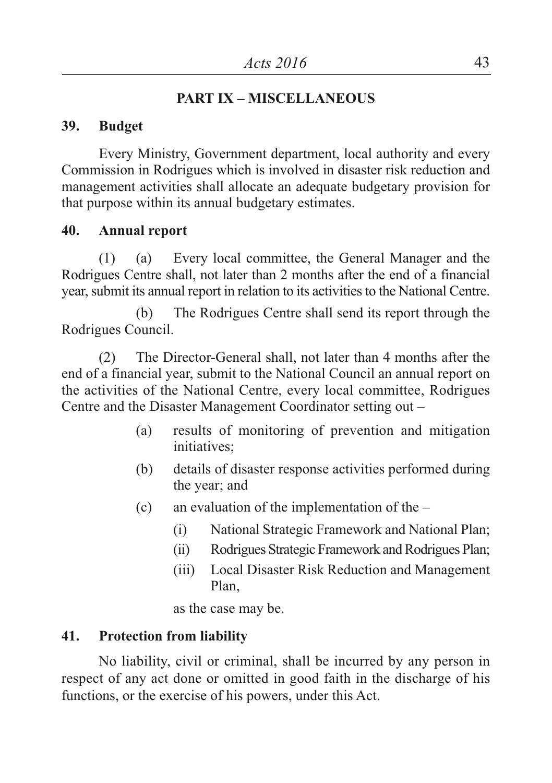# **PART IX – MISCELLANEOUS**

#### **39. Budget**

Every Ministry, Government department, local authority and every Commission in Rodrigues which is involved in disaster risk reduction and management activities shall allocate an adequate budgetary provision for that purpose within its annual budgetary estimates.

#### **40. Annual report**

(1) (a) Every local committee, the General Manager and the Rodrigues Centre shall, not later than 2 months after the end of a financial year, submit its annual report in relation to its activities to the National Centre.

(b) The Rodrigues Centre shall send its report through the Rodrigues Council.

(2) The Director-General shall, not later than 4 months after the end of a financial year, submit to the National Council an annual report on the activities of the National Centre, every local committee, Rodrigues Centre and the Disaster Management Coordinator setting out –

- (a) results of monitoring of prevention and mitigation initiatives;
- (b) details of disaster response activities performed during the year; and
- (c) an evaluation of the implementation of the
	- (i) National Strategic Framework and National Plan;
	- (ii) Rodrigues Strategic Framework and Rodrigues Plan;
	- (iii) Local Disaster Risk Reduction and Management Plan,

as the case may be.

### **41. Protection from liability**

No liability, civil or criminal, shall be incurred by any person in respect of any act done or omitted in good faith in the discharge of his functions, or the exercise of his powers, under this Act.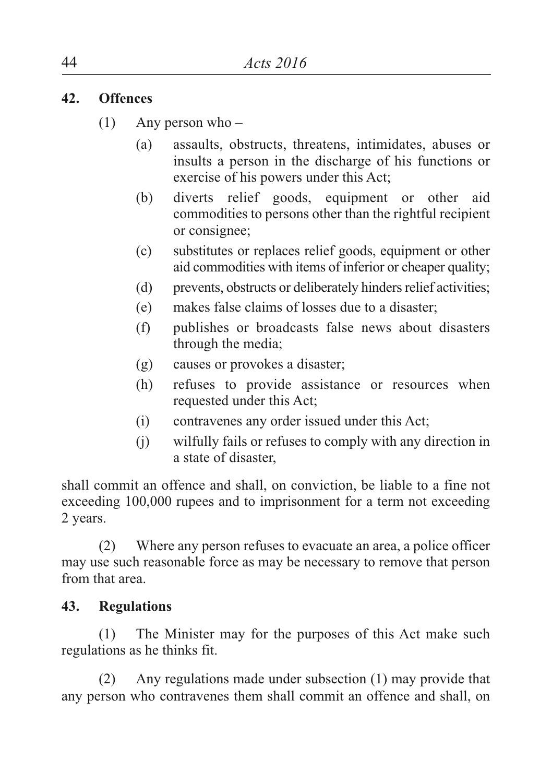## **42. Offences**

- (1) Any person who
	- (a) assaults, obstructs, threatens, intimidates, abuses or insults a person in the discharge of his functions or exercise of his powers under this Act;
	- (b) diverts relief goods, equipment or other aid commodities to persons other than the rightful recipient or consignee;
	- (c) substitutes or replaces relief goods, equipment or other aid commodities with items of inferior or cheaper quality;
	- (d) prevents, obstructs or deliberately hinders relief activities;
	- (e) makes false claims of losses due to a disaster;
	- (f) publishes or broadcasts false news about disasters through the media;
	- (g) causes or provokes a disaster;
	- (h) refuses to provide assistance or resources when requested under this Act;
	- (i) contravenes any order issued under this Act;
	- (j) wilfully fails or refuses to comply with any direction in a state of disaster,

shall commit an offence and shall, on conviction, be liable to a fine not exceeding 100,000 rupees and to imprisonment for a term not exceeding 2 years.

(2) Where any person refuses to evacuate an area, a police officer may use such reasonable force as may be necessary to remove that person from that area.

# **43. Regulations**

(1) The Minister may for the purposes of this Act make such regulations as he thinks fit.

(2) Any regulations made under subsection (1) may provide that any person who contravenes them shall commit an offence and shall, on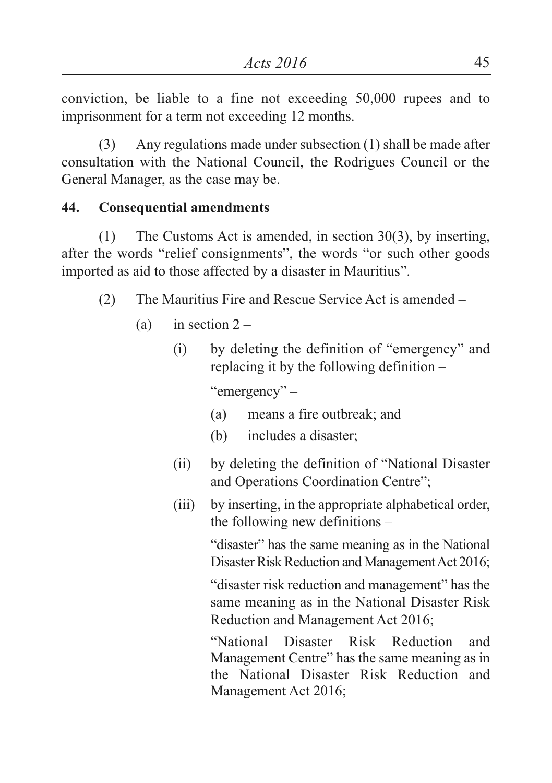conviction, be liable to a fine not exceeding 50,000 rupees and to imprisonment for a term not exceeding 12 months.

(3) Any regulations made under subsection (1) shall be made after consultation with the National Council, the Rodrigues Council or the General Manager, as the case may be.

# **44. Consequential amendments**

(1) The Customs Act is amended, in section 30(3), by inserting, after the words "relief consignments", the words "or such other goods imported as aid to those affected by a disaster in Mauritius".

- (2) The Mauritius Fire and Rescue Service Act is amended
	- (a) in section  $2 -$ 
		- (i) by deleting the definition of "emergency" and replacing it by the following definition –

"emergency" –

- (a) means a fire outbreak; and
- (b) includes a disaster;
- (ii) by deleting the definition of "National Disaster and Operations Coordination Centre";
- (iii) by inserting, in the appropriate alphabetical order, the following new definitions –

"disaster" has the same meaning as in the National Disaster Risk Reduction and Management Act 2016;

"disaster risk reduction and management" has the same meaning as in the National Disaster Risk Reduction and Management Act 2016;

"National Disaster Risk Reduction and Management Centre" has the same meaning as in the National Disaster Risk Reduction and Management Act 2016;